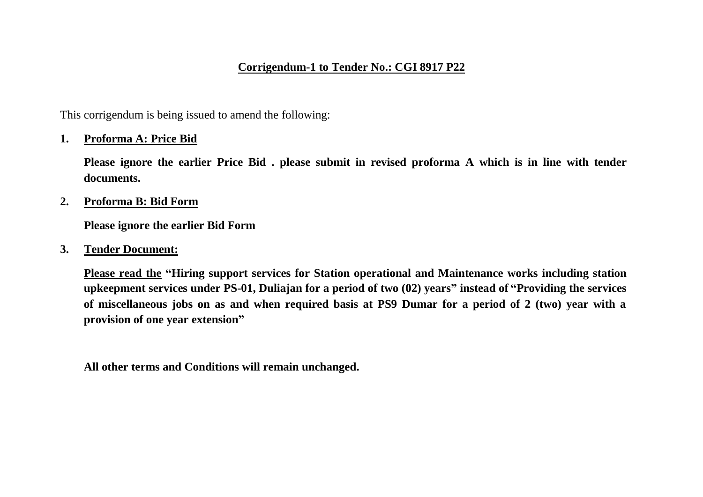# **Corrigendum-1 to Tender No.: CGI 8917 P22**

This corrigendum is being issued to amend the following:

## **1. Proforma A: Price Bid**

**Please ignore the earlier Price Bid . please submit in revised proforma A which is in line with tender documents.**

**2. Proforma B: Bid Form**

**Please ignore the earlier Bid Form**

**3. Tender Document:**

**Please read the "Hiring support services for Station operational and Maintenance works including station upkeepment services under PS-01, Duliajan for a period of two (02) years" instead of "Providing the services of miscellaneous jobs on as and when required basis at PS9 Dumar for a period of 2 (two) year with a provision of one year extension"**

**All other terms and Conditions will remain unchanged.**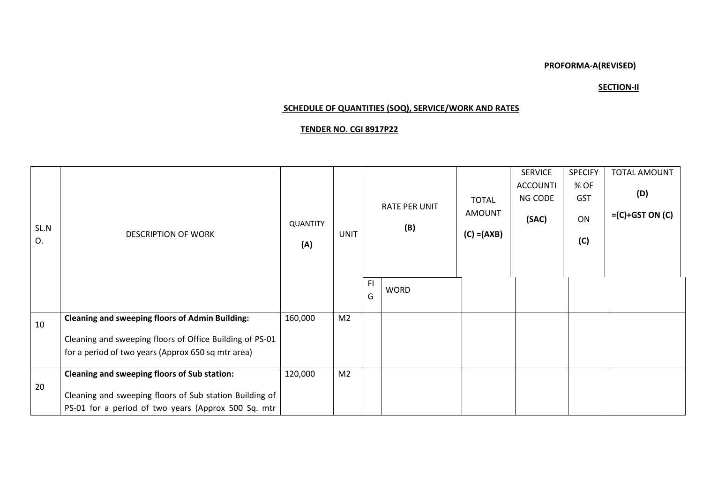### **PROFORMA-A(REVISED)**

### **SECTION-II**

### **SCHEDULE OF QUANTITIES (SOQ), SERVICE/WORK AND RATES**

### **TENDER NO. CGI 8917P22**

|            |                                                                                                                                                                          |                        |                |          |                             |                                                | <b>SERVICE</b>                      | <b>SPECIFY</b>                  | <b>TOTAL AMOUNT</b>      |
|------------|--------------------------------------------------------------------------------------------------------------------------------------------------------------------------|------------------------|----------------|----------|-----------------------------|------------------------------------------------|-------------------------------------|---------------------------------|--------------------------|
| SL.N<br>O. | <b>DESCRIPTION OF WORK</b>                                                                                                                                               | <b>QUANTITY</b><br>(A) | <b>UNIT</b>    |          | <b>RATE PER UNIT</b><br>(B) | <b>TOTAL</b><br><b>AMOUNT</b><br>$(C) = (AXB)$ | <b>ACCOUNTI</b><br>NG CODE<br>(SAC) | % OF<br><b>GST</b><br>ON<br>(C) | (D)<br>$=(C)+GST ON (C)$ |
|            |                                                                                                                                                                          |                        |                | FI.<br>G | <b>WORD</b>                 |                                                |                                     |                                 |                          |
| 10         | <b>Cleaning and sweeping floors of Admin Building:</b><br>Cleaning and sweeping floors of Office Building of PS-01<br>for a period of two years (Approx 650 sq mtr area) | 160,000                | M <sub>2</sub> |          |                             |                                                |                                     |                                 |                          |
| 20         | Cleaning and sweeping floors of Sub station:<br>Cleaning and sweeping floors of Sub station Building of<br>PS-01 for a period of two years (Approx 500 Sq. mtr           | 120,000                | M <sub>2</sub> |          |                             |                                                |                                     |                                 |                          |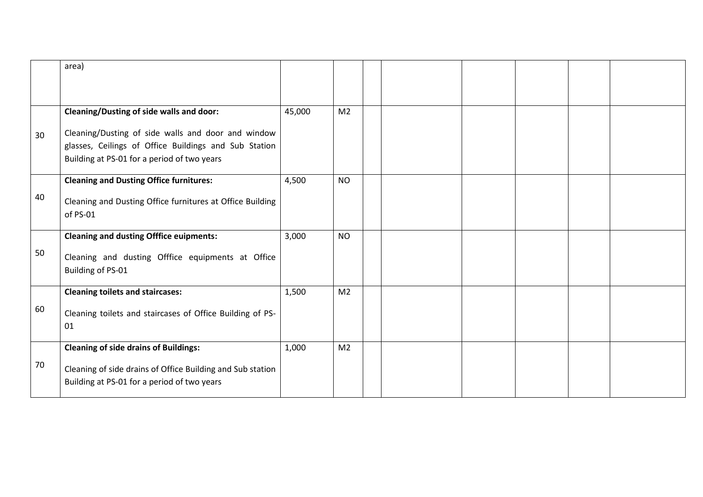|    | area)                                                                 |        |                |  |  |  |
|----|-----------------------------------------------------------------------|--------|----------------|--|--|--|
|    |                                                                       |        |                |  |  |  |
|    |                                                                       |        |                |  |  |  |
|    | <b>Cleaning/Dusting of side walls and door:</b>                       | 45,000 | M <sub>2</sub> |  |  |  |
| 30 | Cleaning/Dusting of side walls and door and window                    |        |                |  |  |  |
|    | glasses, Ceilings of Office Buildings and Sub Station                 |        |                |  |  |  |
|    | Building at PS-01 for a period of two years                           |        |                |  |  |  |
|    | <b>Cleaning and Dusting Office furnitures:</b>                        | 4,500  | <b>NO</b>      |  |  |  |
| 40 |                                                                       |        |                |  |  |  |
|    | Cleaning and Dusting Office furnitures at Office Building<br>of PS-01 |        |                |  |  |  |
|    |                                                                       |        |                |  |  |  |
|    | <b>Cleaning and dusting Offfice euipments:</b>                        | 3,000  | <b>NO</b>      |  |  |  |
| 50 | Cleaning and dusting Offfice equipments at Office                     |        |                |  |  |  |
|    | Building of PS-01                                                     |        |                |  |  |  |
|    |                                                                       | 1,500  | M <sub>2</sub> |  |  |  |
|    | <b>Cleaning toilets and staircases:</b>                               |        |                |  |  |  |
| 60 | Cleaning toilets and staircases of Office Building of PS-             |        |                |  |  |  |
|    | 01                                                                    |        |                |  |  |  |
|    | <b>Cleaning of side drains of Buildings:</b>                          | 1,000  | M <sub>2</sub> |  |  |  |
| 70 | Cleaning of side drains of Office Building and Sub station            |        |                |  |  |  |
|    | Building at PS-01 for a period of two years                           |        |                |  |  |  |
|    |                                                                       |        |                |  |  |  |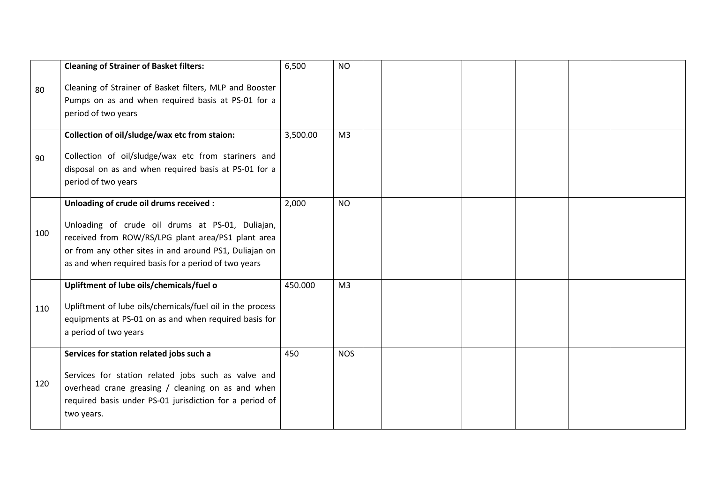|     | <b>Cleaning of Strainer of Basket filters:</b>                                                                                                                                                                                                                      | 6,500    | <b>NO</b>      |  |  |  |
|-----|---------------------------------------------------------------------------------------------------------------------------------------------------------------------------------------------------------------------------------------------------------------------|----------|----------------|--|--|--|
| 80  | Cleaning of Strainer of Basket filters, MLP and Booster<br>Pumps on as and when required basis at PS-01 for a<br>period of two years                                                                                                                                |          |                |  |  |  |
| 90  | Collection of oil/sludge/wax etc from staion:<br>Collection of oil/sludge/wax etc from stariners and<br>disposal on as and when required basis at PS-01 for a<br>period of two years                                                                                | 3,500.00 | M <sub>3</sub> |  |  |  |
| 100 | Unloading of crude oil drums received :<br>Unloading of crude oil drums at PS-01, Duliajan,<br>received from ROW/RS/LPG plant area/PS1 plant area<br>or from any other sites in and around PS1, Duliajan on<br>as and when required basis for a period of two years | 2,000    | <b>NO</b>      |  |  |  |
| 110 | Upliftment of lube oils/chemicals/fuel o<br>Upliftment of lube oils/chemicals/fuel oil in the process<br>equipments at PS-01 on as and when required basis for<br>a period of two years                                                                             | 450.000  | M <sub>3</sub> |  |  |  |
| 120 | Services for station related jobs such a<br>Services for station related jobs such as valve and<br>overhead crane greasing / cleaning on as and when<br>required basis under PS-01 jurisdiction for a period of<br>two years.                                       | 450      | <b>NOS</b>     |  |  |  |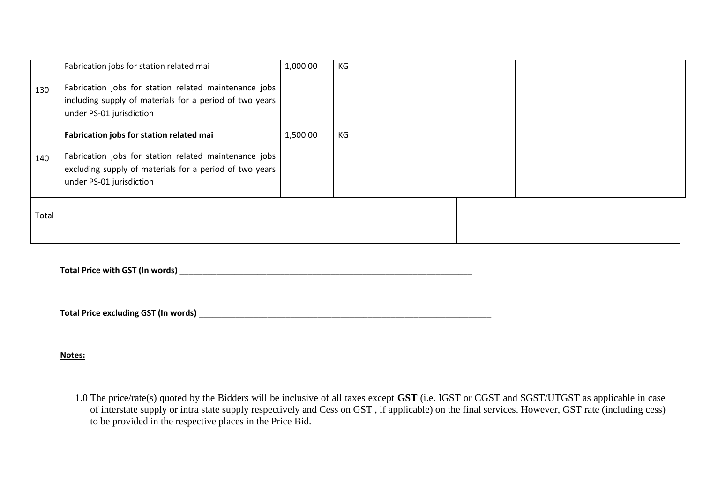|       | Fabrication jobs for station related mai                                                                                                     | 1,000.00 | KG |  |  |  |  |
|-------|----------------------------------------------------------------------------------------------------------------------------------------------|----------|----|--|--|--|--|
| 130   | Fabrication jobs for station related maintenance jobs<br>including supply of materials for a period of two years<br>under PS-01 jurisdiction |          |    |  |  |  |  |
|       | Fabrication jobs for station related mai                                                                                                     | 1,500.00 | KG |  |  |  |  |
| 140   | Fabrication jobs for station related maintenance jobs                                                                                        |          |    |  |  |  |  |
|       | excluding supply of materials for a period of two years<br>under PS-01 jurisdiction                                                          |          |    |  |  |  |  |
|       |                                                                                                                                              |          |    |  |  |  |  |
| Total |                                                                                                                                              |          |    |  |  |  |  |
|       |                                                                                                                                              |          |    |  |  |  |  |
|       |                                                                                                                                              |          |    |  |  |  |  |

**Total Price with GST (In words) \_**\_\_\_\_\_\_\_\_\_\_\_\_\_\_\_\_\_\_\_\_\_\_\_\_\_\_\_\_\_\_\_\_\_\_\_\_\_\_\_\_\_\_\_\_\_\_\_\_\_\_\_\_\_\_\_\_\_\_\_\_\_\_\_

**Total Price excluding GST (In words)** \_\_\_\_\_\_\_\_\_\_\_\_\_\_\_\_\_\_\_\_\_\_\_\_\_\_\_\_\_\_\_\_\_\_\_\_\_\_\_\_\_\_\_\_\_\_\_\_\_\_\_\_\_\_\_\_\_\_\_\_\_\_\_\_

#### **Notes:**

1.0 The price/rate(s) quoted by the Bidders will be inclusive of all taxes except **GST** (i.e. IGST or CGST and SGST/UTGST as applicable in case of interstate supply or intra state supply respectively and Cess on GST , if applicable) on the final services. However, GST rate (including cess) to be provided in the respective places in the Price Bid.